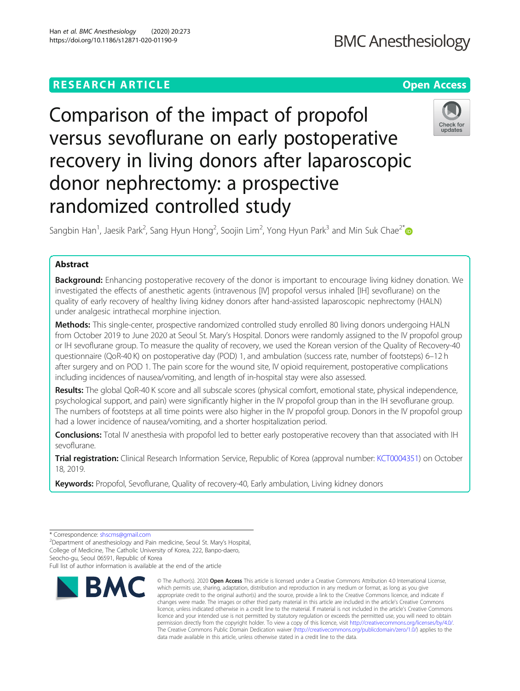# **BMC Anesthesiology**

## **RESEARCH ARTICLE Example 2014 12:30 The Open Access**

# Comparison of the impact of propofol versus sevoflurane on early postoperative recovery in living donors after laparoscopic donor nephrectomy: a prospective randomized controlled study



Sangbin Han<sup>1</sup>, Jaesik Park<sup>2</sup>, Sang Hyun Hong<sup>2</sup>, Soojin Lim<sup>2</sup>, Yong Hyun Park<sup>3</sup> and Min Suk Chae<sup>2\*</sup>

### Abstract

Background: Enhancing postoperative recovery of the donor is important to encourage living kidney donation. We investigated the effects of anesthetic agents (intravenous [IV] propofol versus inhaled [IH] sevoflurane) on the quality of early recovery of healthy living kidney donors after hand-assisted laparoscopic nephrectomy (HALN) under analgesic intrathecal morphine injection.

Methods: This single-center, prospective randomized controlled study enrolled 80 living donors undergoing HALN from October 2019 to June 2020 at Seoul St. Mary's Hospital. Donors were randomly assigned to the IV propofol group or IH sevoflurane group. To measure the quality of recovery, we used the Korean version of the Quality of Recovery-40 questionnaire (QoR-40 K) on postoperative day (POD) 1, and ambulation (success rate, number of footsteps) 6–12 h after surgery and on POD 1. The pain score for the wound site, IV opioid requirement, postoperative complications including incidences of nausea/vomiting, and length of in-hospital stay were also assessed.

Results: The global QoR-40 K score and all subscale scores (physical comfort, emotional state, physical independence, psychological support, and pain) were significantly higher in the IV propofol group than in the IH sevoflurane group. The numbers of footsteps at all time points were also higher in the IV propofol group. Donors in the IV propofol group had a lower incidence of nausea/vomiting, and a shorter hospitalization period.

Conclusions: Total IV anesthesia with propofol led to better early postoperative recovery than that associated with IH sevoflurane.

Trial registration: Clinical Research Information Service, Republic of Korea (approval number: [KCT0004351\)](https://cris.nih.go.kr/cris/en/search/search_result_st01.jsp?seq=15768) on October 18, 2019.

Keywords: Propofol, Sevoflurane, Quality of recovery-40, Early ambulation, Living kidney donors

Seocho-gu, Seoul 06591, Republic of Korea

Full list of author information is available at the end of the article



<sup>©</sup> The Author(s), 2020 **Open Access** This article is licensed under a Creative Commons Attribution 4.0 International License, which permits use, sharing, adaptation, distribution and reproduction in any medium or format, as long as you give appropriate credit to the original author(s) and the source, provide a link to the Creative Commons licence, and indicate if changes were made. The images or other third party material in this article are included in the article's Creative Commons licence, unless indicated otherwise in a credit line to the material. If material is not included in the article's Creative Commons licence and your intended use is not permitted by statutory regulation or exceeds the permitted use, you will need to obtain permission directly from the copyright holder. To view a copy of this licence, visit [http://creativecommons.org/licenses/by/4.0/.](http://creativecommons.org/licenses/by/4.0/) The Creative Commons Public Domain Dedication waiver [\(http://creativecommons.org/publicdomain/zero/1.0/](http://creativecommons.org/publicdomain/zero/1.0/)) applies to the data made available in this article, unless otherwise stated in a credit line to the data.

<sup>\*</sup> Correspondence: [shscms@gmail.com](mailto:shscms@gmail.com) <sup>2</sup>

Department of anesthesiology and Pain medicine, Seoul St. Mary's Hospital, College of Medicine, The Catholic University of Korea, 222, Banpo-daero,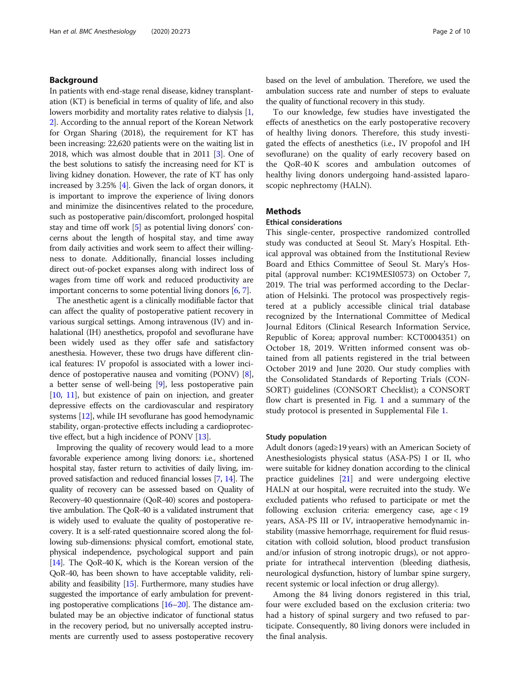#### Background

In patients with end-stage renal disease, kidney transplantation (KT) is beneficial in terms of quality of life, and also lowers morbidity and mortality rates relative to dialysis [[1](#page-8-0), [2\]](#page-8-0). According to the annual report of the Korean Network for Organ Sharing (2018), the requirement for KT has been increasing: 22,620 patients were on the waiting list in 2018, which was almost double that in 2011 [[3\]](#page-8-0). One of the best solutions to satisfy the increasing need for KT is living kidney donation. However, the rate of KT has only increased by 3.25% [[4](#page-8-0)]. Given the lack of organ donors, it is important to improve the experience of living donors and minimize the disincentives related to the procedure, such as postoperative pain/discomfort, prolonged hospital stay and time off work [\[5](#page-8-0)] as potential living donors' concerns about the length of hospital stay, and time away from daily activities and work seem to affect their willingness to donate. Additionally, financial losses including direct out-of-pocket expanses along with indirect loss of wages from time off work and reduced productivity are important concerns to some potential living donors [\[6](#page-8-0), [7\]](#page-8-0).

The anesthetic agent is a clinically modifiable factor that can affect the quality of postoperative patient recovery in various surgical settings. Among intravenous (IV) and inhalational (IH) anesthetics, propofol and sevoflurane have been widely used as they offer safe and satisfactory anesthesia. However, these two drugs have different clinical features: IV propofol is associated with a lower incidence of postoperative nausea and vomiting (PONV) [[8](#page-8-0)], a better sense of well-being [\[9](#page-8-0)], less postoperative pain [[10](#page-8-0), [11](#page-8-0)], but existence of pain on injection, and greater depressive effects on the cardiovascular and respiratory systems [\[12\]](#page-8-0), while IH sevoflurane has good hemodynamic stability, organ-protective effects including a cardioprotective effect, but a high incidence of PONV [[13](#page-8-0)].

Improving the quality of recovery would lead to a more favorable experience among living donors: i.e., shortened hospital stay, faster return to activities of daily living, improved satisfaction and reduced financial losses [\[7,](#page-8-0) [14\]](#page-8-0). The quality of recovery can be assessed based on Quality of Recovery-40 questionnaire (QoR-40) scores and postoperative ambulation. The QoR-40 is a validated instrument that is widely used to evaluate the quality of postoperative recovery. It is a self-rated questionnaire scored along the following sub-dimensions: physical comfort, emotional state, physical independence, psychological support and pain [[14](#page-8-0)]. The QoR-40 K, which is the Korean version of the QoR-40, has been shown to have acceptable validity, reliability and feasibility [\[15](#page-8-0)]. Furthermore, many studies have suggested the importance of early ambulation for preventing postoperative complications [\[16](#page-8-0)–[20\]](#page-8-0). The distance ambulated may be an objective indicator of functional status in the recovery period, but no universally accepted instruments are currently used to assess postoperative recovery based on the level of ambulation. Therefore, we used the ambulation success rate and number of steps to evaluate the quality of functional recovery in this study.

To our knowledge, few studies have investigated the effects of anesthetics on the early postoperative recovery of healthy living donors. Therefore, this study investigated the effects of anesthetics (i.e., IV propofol and IH sevoflurane) on the quality of early recovery based on the QoR-40 K scores and ambulation outcomes of healthy living donors undergoing hand-assisted laparoscopic nephrectomy (HALN).

#### **Methods**

#### Ethical considerations

This single-center, prospective randomized controlled study was conducted at Seoul St. Mary's Hospital. Ethical approval was obtained from the Institutional Review Board and Ethics Committee of Seoul St. Mary's Hospital (approval number: KC19MESI0573) on October 7, 2019. The trial was performed according to the Declaration of Helsinki. The protocol was prospectively registered at a publicly accessible clinical trial database recognized by the International Committee of Medical Journal Editors (Clinical Research Information Service, Republic of Korea; approval number: KCT0004351) on October 18, 2019. Written informed consent was obtained from all patients registered in the trial between October 2019 and June 2020. Our study complies with the Consolidated Standards of Reporting Trials (CON-SORT) guidelines (CONSORT Checklist); a CONSORT flow chart is presented in Fig. [1](#page-2-0) and a summary of the study protocol is presented in Supplemental File [1.](#page-7-0)

#### Study population

Adult donors (aged≥19 years) with an American Society of Anesthesiologists physical status (ASA-PS) I or II, who were suitable for kidney donation according to the clinical practice guidelines [[21](#page-8-0)] and were undergoing elective HALN at our hospital, were recruited into the study. We excluded patients who refused to participate or met the following exclusion criteria: emergency case, age < 19 years, ASA-PS III or IV, intraoperative hemodynamic instability (massive hemorrhage, requirement for fluid resuscitation with colloid solution, blood product transfusion and/or infusion of strong inotropic drugs), or not appropriate for intrathecal intervention (bleeding diathesis, neurological dysfunction, history of lumbar spine surgery, recent systemic or local infection or drug allergy).

Among the 84 living donors registered in this trial, four were excluded based on the exclusion criteria: two had a history of spinal surgery and two refused to participate. Consequently, 80 living donors were included in the final analysis.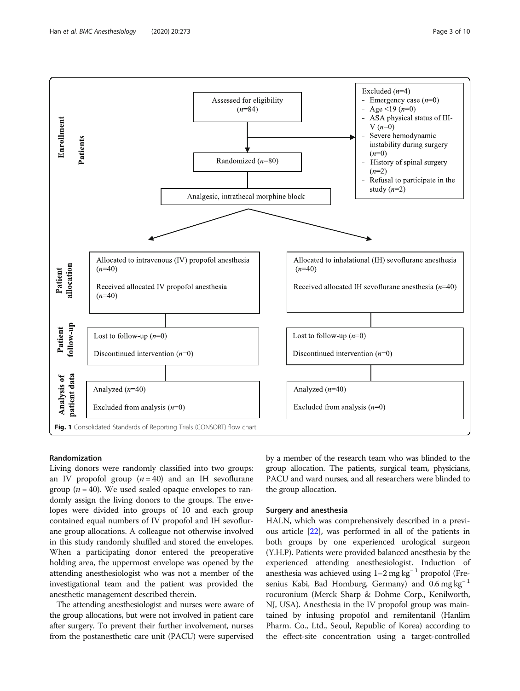<span id="page-2-0"></span>

#### Randomization

Living donors were randomly classified into two groups: an IV propofol group  $(n = 40)$  and an IH sevoflurane group ( $n = 40$ ). We used sealed opaque envelopes to randomly assign the living donors to the groups. The envelopes were divided into groups of 10 and each group contained equal numbers of IV propofol and IH sevoflurane group allocations. A colleague not otherwise involved in this study randomly shuffled and stored the envelopes. When a participating donor entered the preoperative holding area, the uppermost envelope was opened by the attending anesthesiologist who was not a member of the investigational team and the patient was provided the anesthetic management described therein.

The attending anesthesiologist and nurses were aware of the group allocations, but were not involved in patient care after surgery. To prevent their further involvement, nurses from the postanesthetic care unit (PACU) were supervised by a member of the research team who was blinded to the group allocation. The patients, surgical team, physicians, PACU and ward nurses, and all researchers were blinded to the group allocation.

#### Surgery and anesthesia

HALN, which was comprehensively described in a previous article [\[22\]](#page-8-0), was performed in all of the patients in both groups by one experienced urological surgeon (Y.H.P). Patients were provided balanced anesthesia by the experienced attending anesthesiologist. Induction of anesthesia was achieved using  $1-2$  mg kg<sup>-1</sup> propofol (Fresenius Kabi, Bad Homburg, Germany) and  $0.6$  mg kg<sup>-1</sup> rocuronium (Merck Sharp & Dohme Corp., Kenilworth, NJ, USA). Anesthesia in the IV propofol group was maintained by infusing propofol and remifentanil (Hanlim Pharm. Co., Ltd., Seoul, Republic of Korea) according to the effect-site concentration using a target-controlled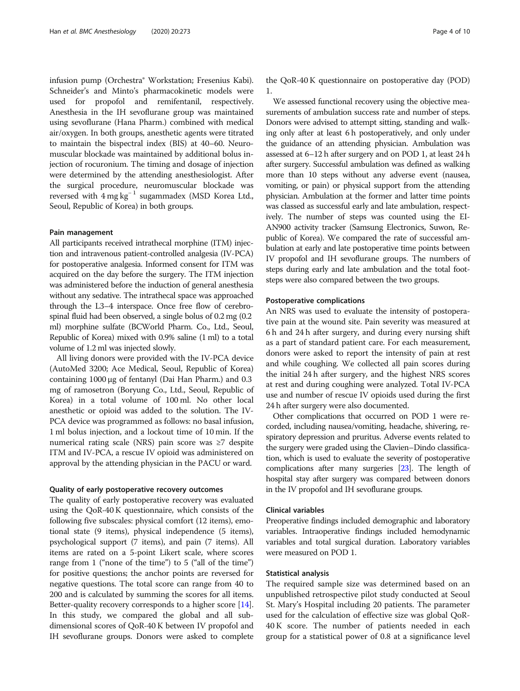infusion pump (Orchestra® Workstation; Fresenius Kabi). Schneider's and Minto's pharmacokinetic models were used for propofol and remifentanil, respectively. Anesthesia in the IH sevoflurane group was maintained using sevoflurane (Hana Pharm.) combined with medical air/oxygen. In both groups, anesthetic agents were titrated to maintain the bispectral index (BIS) at 40–60. Neuromuscular blockade was maintained by additional bolus injection of rocuronium. The timing and dosage of injection were determined by the attending anesthesiologist. After the surgical procedure, neuromuscular blockade was reversed with  $4 \text{ mg kg}^{-1}$  sugammadex (MSD Korea Ltd., Seoul, Republic of Korea) in both groups.

#### Pain management

All participants received intrathecal morphine (ITM) injection and intravenous patient-controlled analgesia (IV-PCA) for postoperative analgesia. Informed consent for ITM was acquired on the day before the surgery. The ITM injection was administered before the induction of general anesthesia without any sedative. The intrathecal space was approached through the L3–4 interspace. Once free flow of cerebrospinal fluid had been observed, a single bolus of 0.2 mg (0.2 ml) morphine sulfate (BCWorld Pharm. Co., Ltd., Seoul, Republic of Korea) mixed with 0.9% saline (1 ml) to a total volume of 1.2 ml was injected slowly.

All living donors were provided with the IV-PCA device (AutoMed 3200; Ace Medical, Seoul, Republic of Korea) containing 1000 μg of fentanyl (Dai Han Pharm.) and 0.3 mg of ramosetron (Boryung Co., Ltd., Seoul, Republic of Korea) in a total volume of 100 ml. No other local anesthetic or opioid was added to the solution. The IV-PCA device was programmed as follows: no basal infusion, 1 ml bolus injection, and a lockout time of 10 min. If the numerical rating scale (NRS) pain score was ≥7 despite ITM and IV-PCA, a rescue IV opioid was administered on approval by the attending physician in the PACU or ward.

#### Quality of early postoperative recovery outcomes

The quality of early postoperative recovery was evaluated using the QoR-40 K questionnaire, which consists of the following five subscales: physical comfort (12 items), emotional state (9 items), physical independence (5 items), psychological support (7 items), and pain (7 items). All items are rated on a 5-point Likert scale, where scores range from 1 ("none of the time") to 5 ("all of the time") for positive questions; the anchor points are reversed for negative questions. The total score can range from 40 to 200 and is calculated by summing the scores for all items. Better-quality recovery corresponds to a higher score [[14](#page-8-0)]. In this study, we compared the global and all subdimensional scores of QoR-40 K between IV propofol and IH sevoflurane groups. Donors were asked to complete the QoR-40 K questionnaire on postoperative day (POD) 1.

We assessed functional recovery using the objective measurements of ambulation success rate and number of steps. Donors were advised to attempt sitting, standing and walking only after at least 6 h postoperatively, and only under the guidance of an attending physician. Ambulation was assessed at 6–12 h after surgery and on POD 1, at least 24 h after surgery. Successful ambulation was defined as walking more than 10 steps without any adverse event (nausea, vomiting, or pain) or physical support from the attending physician. Ambulation at the former and latter time points was classed as successful early and late ambulation, respectively. The number of steps was counted using the EI-AN900 activity tracker (Samsung Electronics, Suwon, Republic of Korea). We compared the rate of successful ambulation at early and late postoperative time points between IV propofol and IH sevoflurane groups. The numbers of steps during early and late ambulation and the total footsteps were also compared between the two groups.

#### Postoperative complications

An NRS was used to evaluate the intensity of postoperative pain at the wound site. Pain severity was measured at 6 h and 24 h after surgery, and during every nursing shift as a part of standard patient care. For each measurement, donors were asked to report the intensity of pain at rest and while coughing. We collected all pain scores during the initial 24 h after surgery, and the highest NRS scores at rest and during coughing were analyzed. Total IV-PCA use and number of rescue IV opioids used during the first 24 h after surgery were also documented.

Other complications that occurred on POD 1 were recorded, including nausea/vomiting, headache, shivering, respiratory depression and pruritus. Adverse events related to the surgery were graded using the Clavien–Dindo classification, which is used to evaluate the severity of postoperative complications after many surgeries [\[23](#page-8-0)]. The length of hospital stay after surgery was compared between donors in the IV propofol and IH sevoflurane groups.

#### Clinical variables

Preoperative findings included demographic and laboratory variables. Intraoperative findings included hemodynamic variables and total surgical duration. Laboratory variables were measured on POD 1.

#### Statistical analysis

The required sample size was determined based on an unpublished retrospective pilot study conducted at Seoul St. Mary's Hospital including 20 patients. The parameter used for the calculation of effective size was global QoR-40 K score. The number of patients needed in each group for a statistical power of 0.8 at a significance level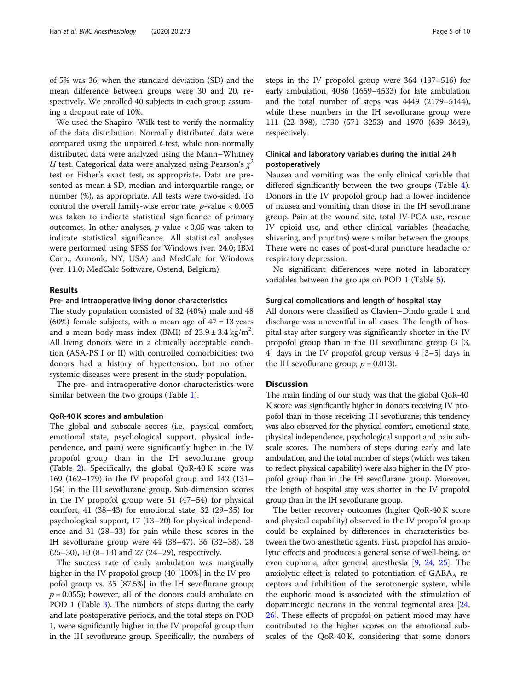of 5% was 36, when the standard deviation (SD) and the mean difference between groups were 30 and 20, respectively. We enrolled 40 subjects in each group assuming a dropout rate of 10%.

We used the Shapiro–Wilk test to verify the normality of the data distribution. Normally distributed data were compared using the unpaired  $t$ -test, while non-normally distributed data were analyzed using the Mann–Whitney U test. Categorical data were analyzed using Pearson's  $\chi^2$ test or Fisher's exact test, as appropriate. Data are presented as mean ± SD, median and interquartile range, or number (%), as appropriate. All tests were two-sided. To control the overall family-wise error rate,  $p$ -value < 0.005 was taken to indicate statistical significance of primary outcomes. In other analyses,  $p$ -value < 0.05 was taken to indicate statistical significance. All statistical analyses were performed using SPSS for Windows (ver. 24.0; IBM Corp., Armonk, NY, USA) and MedCalc for Windows (ver. 11.0; MedCalc Software, Ostend, Belgium).

#### Results

#### Pre- and intraoperative living donor characteristics

The study population consisted of 32 (40%) male and 48 (60%) female subjects, with a mean age of  $47 \pm 13$  years and a mean body mass index (BMI) of  $23.9 \pm 3.4$  kg/m<sup>2</sup>. All living donors were in a clinically acceptable condition (ASA-PS I or II) with controlled comorbidities: two donors had a history of hypertension, but no other systemic diseases were present in the study population.

The pre- and intraoperative donor characteristics were similar between the two groups (Table [1\)](#page-5-0).

#### QoR-40 K scores and ambulation

The global and subscale scores (i.e., physical comfort, emotional state, psychological support, physical independence, and pain) were significantly higher in the IV propofol group than in the IH sevoflurane group (Table [2\)](#page-6-0). Specifically, the global QoR-40 K score was 169 (162–179) in the IV propofol group and 142 (131– 154) in the IH sevoflurane group. Sub-dimension scores in the IV propofol group were 51 (47–54) for physical comfort, 41 (38–43) for emotional state, 32 (29–35) for psychological support, 17 (13–20) for physical independence and 31 (28–33) for pain while these scores in the IH sevoflurane group were 44 (38–47), 36 (32–38), 28 (25–30), 10 (8–13) and 27 (24–29), respectively.

The success rate of early ambulation was marginally higher in the IV propofol group (40 [100%] in the IV propofol group vs. 35 [87.5%] in the IH sevoflurane group;  $p = 0.055$ ); however, all of the donors could ambulate on POD 1 (Table [3\)](#page-6-0). The numbers of steps during the early and late postoperative periods, and the total steps on POD 1, were significantly higher in the IV propofol group than in the IH sevoflurane group. Specifically, the numbers of steps in the IV propofol group were 364 (137–516) for early ambulation, 4086 (1659–4533) for late ambulation and the total number of steps was 4449 (2179–5144), while these numbers in the IH sevoflurane group were 111 (22–398), 1730 (571–3253) and 1970 (639–3649), respectively.

### Clinical and laboratory variables during the initial 24 h postoperatively

Nausea and vomiting was the only clinical variable that differed significantly between the two groups (Table [4](#page-7-0)). Donors in the IV propofol group had a lower incidence of nausea and vomiting than those in the IH sevoflurane group. Pain at the wound site, total IV-PCA use, rescue IV opioid use, and other clinical variables (headache, shivering, and pruritus) were similar between the groups. There were no cases of post-dural puncture headache or respiratory depression.

No significant differences were noted in laboratory variables between the groups on POD 1 (Table [5\)](#page-7-0).

#### Surgical complications and length of hospital stay

All donors were classified as Clavien–Dindo grade 1 and discharge was uneventful in all cases. The length of hospital stay after surgery was significantly shorter in the IV propofol group than in the IH sevoflurane group (3 [3, 4] days in the IV propofol group versus 4 [3–5] days in the IH sevoflurane group;  $p = 0.013$ ).

#### **Discussion**

The main finding of our study was that the global QoR-40 K score was significantly higher in donors receiving IV propofol than in those receiving IH sevoflurane; this tendency was also observed for the physical comfort, emotional state, physical independence, psychological support and pain subscale scores. The numbers of steps during early and late ambulation, and the total number of steps (which was taken to reflect physical capability) were also higher in the IV propofol group than in the IH sevoflurane group. Moreover, the length of hospital stay was shorter in the IV propofol group than in the IH sevoflurane group.

The better recovery outcomes (higher QoR-40 K score and physical capability) observed in the IV propofol group could be explained by differences in characteristics between the two anesthetic agents. First, propofol has anxiolytic effects and produces a general sense of well-being, or even euphoria, after general anesthesia [\[9,](#page-8-0) [24](#page-8-0), [25\]](#page-8-0). The anxiolytic effect is related to potentiation of  $GABA_A$  receptors and inhibition of the serotonergic system, while the euphoric mood is associated with the stimulation of dopaminergic neurons in the ventral tegmental area [[24](#page-8-0), [26](#page-8-0)]. These effects of propofol on patient mood may have contributed to the higher scores on the emotional subscales of the QoR-40 K, considering that some donors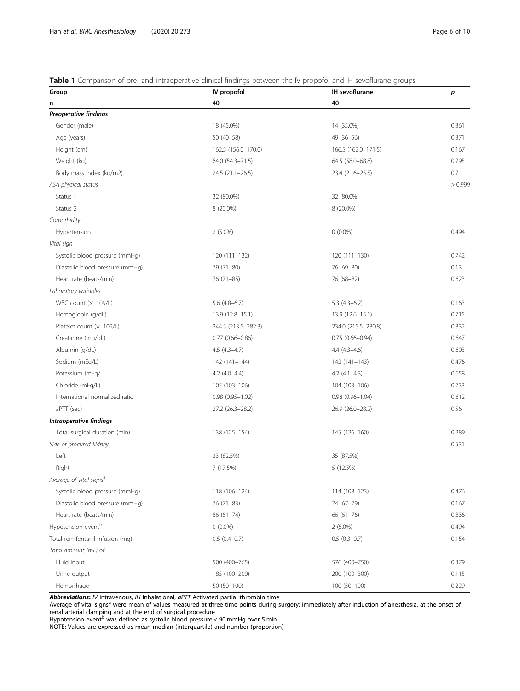### <span id="page-5-0"></span>Table 1 Comparison of pre- and intraoperative clinical findings between the IV propofol and IH sevoflurane groups

| Group                               | • Companison or pre- and indiagperative elimear illiamigs between the ty-proporor and in-sevolutione-groups<br>IV propofol | IH sevoflurane      | p       |
|-------------------------------------|----------------------------------------------------------------------------------------------------------------------------|---------------------|---------|
| n                                   | 40                                                                                                                         | 40                  |         |
| <b>Preoperative findings</b>        |                                                                                                                            |                     |         |
| Gender (male)                       | 18 (45.0%)                                                                                                                 | 14 (35.0%)          | 0.361   |
| Age (years)                         | $50(40 - 58)$                                                                                                              | $49(36 - 56)$       | 0.371   |
| Height (cm)                         | 162.5 (156.0-170.0)                                                                                                        | 166.5 (162.0-171.5) | 0.167   |
| Weight (kg)                         | 64.0 (54.3-71.5)                                                                                                           | 64.5 (58.0-68.8)    | 0.795   |
| Body mass index (kg/m2)             | $24.5(21.1-26.5)$                                                                                                          | 23.4 (21.6-25.5)    | 0.7     |
| ASA physical status                 |                                                                                                                            |                     | > 0.999 |
| Status 1                            | 32 (80.0%)                                                                                                                 | 32 (80.0%)          |         |
| Status 2                            | 8 (20.0%)                                                                                                                  | 8 (20.0%)           |         |
| Comorbidity                         |                                                                                                                            |                     |         |
| Hypertension                        | $2(5.0\%)$                                                                                                                 | $0(0.0\%)$          | 0.494   |
| Vital sign                          |                                                                                                                            |                     |         |
| Systolic blood pressure (mmHg)      | 120 (111-132)                                                                                                              | $120(111 - 130)$    | 0.742   |
| Diastolic blood pressure (mmHg)     | 79 (71-80)                                                                                                                 | 76 (69-80)          | 0.13    |
| Heart rate (beats/min)              | 76 (71-85)                                                                                                                 | 76 (68-82)          | 0.623   |
| Laboratory variables                |                                                                                                                            |                     |         |
| WBC count $(x 109/L)$               | $5.6$ $(4.8-6.7)$                                                                                                          | $5.3(4.3-6.2)$      | 0.163   |
| Hemoglobin (g/dL)                   | 13.9 (12.8-15.1)                                                                                                           | $13.9(12.6 - 15.1)$ | 0.715   |
| Platelet count $(x 109/L)$          | 244.5 (213.5-282.3)                                                                                                        | 234.0 (215.5-280.8) | 0.832   |
| Creatinine (mg/dL)                  | $0.77$ $(0.66 - 0.86)$                                                                                                     | $0.75(0.66 - 0.94)$ | 0.647   |
| Albumin (g/dL)                      | $4.5(4.3-4.7)$                                                                                                             | $4.4(4.3-4.6)$      | 0.603   |
| Sodium (mEq/L)                      | 142 (141-144)                                                                                                              | 142 (141-143)       | 0.476   |
| Potassium (mEq/L)                   | $4.2$ $(4.0-4.4)$                                                                                                          | $4.2$ $(4.1-4.3)$   | 0.658   |
| Chloride (mEq/L)                    | 105 (103-106)                                                                                                              | 104 (103-106)       | 0.733   |
| International normalized ratio      | $0.98(0.95 - 1.02)$                                                                                                        | $0.98(0.96 - 1.04)$ | 0.612   |
| aPTT (sec)                          | 27.2 (26.3-28.2)                                                                                                           | 26.9 (26.0-28.2)    | 0.56    |
| Intraoperative findings             |                                                                                                                            |                     |         |
| Total surgical duration (min)       | 138 (125-154)                                                                                                              | 145 (126-160)       | 0.289   |
| Side of procured kidney             |                                                                                                                            |                     | 0.531   |
| Left                                | 33 (82.5%)                                                                                                                 | 35 (87.5%)          |         |
| Right                               | 7 (17.5%)                                                                                                                  | 5 (12.5%)           |         |
| Average of vital signs <sup>a</sup> |                                                                                                                            |                     |         |
| Systolic blood pressure (mmHg)      | 118 (106-124)                                                                                                              | 114 (108-123)       | 0.476   |
| Diastolic blood pressure (mmHg)     | 76 (71-83)                                                                                                                 | 74 (67-79)          | 0.167   |
| Heart rate (beats/min)              | $66(61 - 74)$                                                                                                              | $66(61 - 76)$       | 0.836   |
| Hypotension event <sup>b</sup>      | $0(0.0\%)$                                                                                                                 | $2(5.0\%)$          | 0.494   |
| Total remifentanil infusion (mg)    | $0.5(0.4-0.7)$                                                                                                             | $0.5(0.3-0.7)$      | 0.154   |
| Total amount (mL) of                |                                                                                                                            |                     |         |
| Fluid input                         | 500 (400-765)                                                                                                              | 576 (400-750)       | 0.379   |
| Urine output                        | 185 (100-200)                                                                                                              | 200 (100-300)       | 0.115   |
| Hemorrhage                          | 50 (50-100)                                                                                                                | 100 (50-100)        | 0.229   |

Abbreviations: IV Intravenous, IH Inhalational, aPTT Activated partial thrombin time

Average of vital signs<sup>a</sup> were mean of values measured at three time points during surgery: immediately after induction of anesthesia, at the onset of renal arterial clamping and at the end of surgical procedure

Hypotension event<sup>b</sup> was defined as systolic blood pressure < 90 mmHg over 5 min

NOTE: Values are expressed as mean median (interquartile) and number (proportion)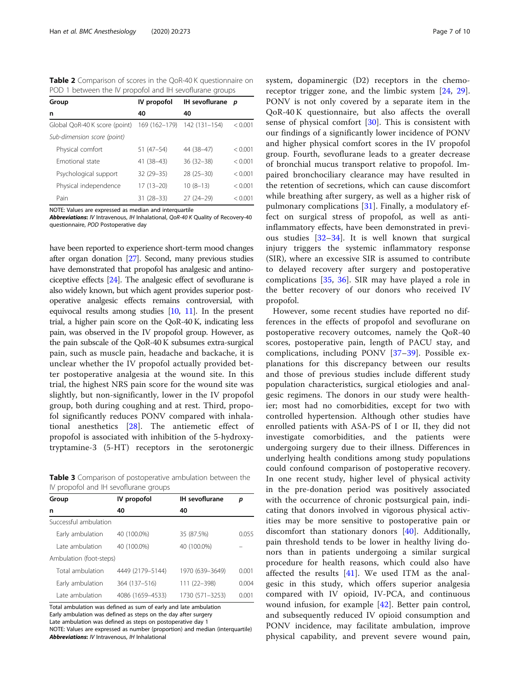<span id="page-6-0"></span>Table 2 Comparison of scores in the QoR-40 K questionnaire on POD 1 between the IV propofol and IH sevoflurane groups

| Group                         | IV propofol   | <b>IH</b> sevoflurane | D       |
|-------------------------------|---------------|-----------------------|---------|
| n                             | 40            | 40                    |         |
| Global QoR-40 K score (point) | 169 (162-179) | 142 (131-154)         | < 0.001 |
| Sub-dimension score (point)   |               |                       |         |
| Physical comfort              | $51(47-54)$   | 44 (38-47)            | < 0.001 |
| Emotional state               | $41(38-43)$   | $36(32 - 38)$         | < 0.001 |
| Psychological support         | $32(29 - 35)$ | $28(25-30)$           | < 0.001 |
| Physical independence         | $17(13 - 20)$ | $10(8-13)$            | < 0.001 |
| Pain                          | 31 (28–33)    | $27(24-29)$           | < 0.001 |

NOTE: Values are expressed as median and interquartile

Abbreviations: IV Intravenous, IH Inhalational, OoR-40 K Quality of Recovery-40 questionnaire, POD Postoperative day

have been reported to experience short-term mood changes after organ donation [\[27\]](#page-8-0). Second, many previous studies have demonstrated that propofol has analgesic and antinociceptive effects [\[24\]](#page-8-0). The analgesic effect of sevoflurane is also widely known, but which agent provides superior postoperative analgesic effects remains controversial, with equivocal results among studies  $[10, 11]$  $[10, 11]$  $[10, 11]$  $[10, 11]$ . In the present trial, a higher pain score on the QoR-40 K, indicating less pain, was observed in the IV propofol group. However, as the pain subscale of the QoR-40 K subsumes extra-surgical pain, such as muscle pain, headache and backache, it is unclear whether the IV propofol actually provided better postoperative analgesia at the wound site. In this trial, the highest NRS pain score for the wound site was slightly, but non-significantly, lower in the IV propofol group, both during coughing and at rest. Third, propofol significantly reduces PONV compared with inhalational anesthetics [[28\]](#page-8-0). The antiemetic effect of propofol is associated with inhibition of the 5-hydroxytryptamine-3 (5-HT) receptors in the serotonergic

Table 3 Comparison of postoperative ambulation between the IV propofol and IH sevoflurane groups

| Group                   | IV propofol      | <b>IH</b> sevoflurane | р     |  |
|-------------------------|------------------|-----------------------|-------|--|
| n                       | 40               | 40                    |       |  |
| Successful ambulation   |                  |                       |       |  |
| Early ambulation        | 40 (100.0%)      | 35 (87.5%)            | 0.055 |  |
| Late ambulation         | 40 (100.0%)      | 40 (100.0%)           |       |  |
| Ambulation (foot-steps) |                  |                       |       |  |
| Total ambulation        | 4449 (2179-5144) | 1970 (639-3649)       | 0.001 |  |
| Early ambulation        | 364 (137-516)    | 111 (22-398)          | 0.004 |  |
| Late ambulation         | 4086 (1659-4533) | 1730 (571-3253)       | 0.001 |  |

Total ambulation was defined as sum of early and late ambulation Early ambulation was defined as steps on the day after surgery

Late ambulation was defined as steps on postoperative day 1

NOTE: Values are expressed as number (proportion) and median (interquartile) Abbreviations: IV Intravenous, IH Inhalational

system, dopaminergic (D2) receptors in the chemoreceptor trigger zone, and the limbic system [\[24](#page-8-0), [29](#page-8-0)]. PONV is not only covered by a separate item in the QoR-40 K questionnaire, but also affects the overall sense of physical comfort [\[30](#page-9-0)]. This is consistent with our findings of a significantly lower incidence of PONV and higher physical comfort scores in the IV propofol group. Fourth, sevoflurane leads to a greater decrease of bronchial mucus transport relative to propofol. Impaired bronchociliary clearance may have resulted in the retention of secretions, which can cause discomfort while breathing after surgery, as well as a higher risk of pulmonary complications [\[31](#page-9-0)]. Finally, a modulatory effect on surgical stress of propofol, as well as antiinflammatory effects, have been demonstrated in previous studies [[32](#page-9-0)–[34\]](#page-9-0). It is well known that surgical injury triggers the systemic inflammatory response (SIR), where an excessive SIR is assumed to contribute to delayed recovery after surgery and postoperative complications [\[35](#page-9-0), [36\]](#page-9-0). SIR may have played a role in the better recovery of our donors who received IV propofol.

However, some recent studies have reported no differences in the effects of propofol and sevoflurane on postoperative recovery outcomes, namely the QoR-40 scores, postoperative pain, length of PACU stay, and complications, including PONV [\[37](#page-9-0)–[39](#page-9-0)]. Possible explanations for this discrepancy between our results and those of previous studies include different study population characteristics, surgical etiologies and analgesic regimens. The donors in our study were healthier; most had no comorbidities, except for two with controlled hypertension. Although other studies have enrolled patients with ASA-PS of I or II, they did not investigate comorbidities, and the patients were undergoing surgery due to their illness. Differences in underlying health conditions among study populations could confound comparison of postoperative recovery. In one recent study, higher level of physical activity in the pre-donation period was positively associated with the occurrence of chronic postsurgical pain, indicating that donors involved in vigorous physical activities may be more sensitive to postoperative pain or discomfort than stationary donors [\[40](#page-9-0)]. Additionally, pain threshold tends to be lower in healthy living donors than in patients undergoing a similar surgical procedure for health reasons, which could also have affected the results [[41\]](#page-9-0). We used ITM as the analgesic in this study, which offers superior analgesia compared with IV opioid, IV-PCA, and continuous wound infusion, for example [\[42](#page-9-0)]. Better pain control, and subsequently reduced IV opioid consumption and PONV incidence, may facilitate ambulation, improve physical capability, and prevent severe wound pain,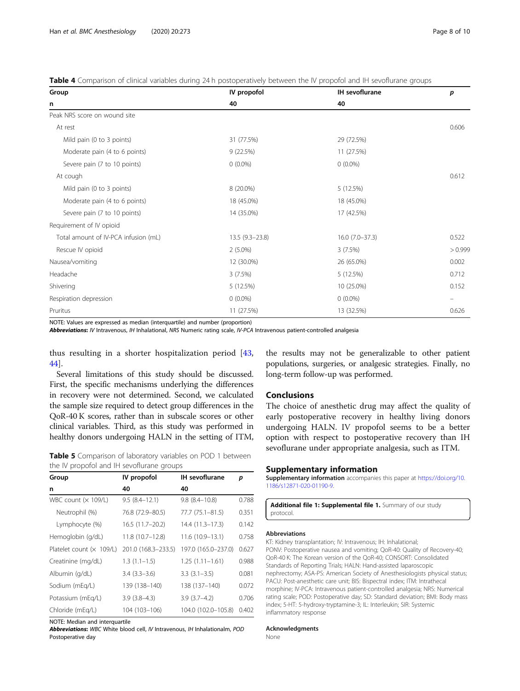<span id="page-7-0"></span>

| <b>Table 4</b> Comparison of clinical variables during 24 h postoperatively between the IV propofol and IH sevoflurane groups |  |  |  |  |  |  |
|-------------------------------------------------------------------------------------------------------------------------------|--|--|--|--|--|--|
|-------------------------------------------------------------------------------------------------------------------------------|--|--|--|--|--|--|

| Group                                | IV propofol      | IH sevoflurane   | p       |
|--------------------------------------|------------------|------------------|---------|
| n                                    | 40               | 40               |         |
| Peak NRS score on wound site         |                  |                  |         |
| At rest                              |                  |                  | 0.606   |
| Mild pain (0 to 3 points)            | 31 (77.5%)       | 29 (72.5%)       |         |
| Moderate pain (4 to 6 points)        | 9(22.5%)         | 11 (27.5%)       |         |
| Severe pain (7 to 10 points)         | $0(0.0\%)$       | $0(0.0\%)$       |         |
| At cough                             |                  |                  | 0.612   |
| Mild pain (0 to 3 points)            | 8 (20.0%)        | 5 (12.5%)        |         |
| Moderate pain (4 to 6 points)        | 18 (45.0%)       | 18 (45.0%)       |         |
| Severe pain (7 to 10 points)         | 14 (35.0%)       | 17 (42.5%)       |         |
| Requirement of IV opioid             |                  |                  |         |
| Total amount of IV-PCA infusion (mL) | $13.5(9.3-23.8)$ | $16.0(7.0-37.3)$ | 0.522   |
| Rescue IV opioid                     | $2(5.0\%)$       | 3(7.5%)          | > 0.999 |
| Nausea/vomiting                      | 12 (30.0%)       | 26 (65.0%)       | 0.002   |
| Headache                             | 3(7.5%)          | 5 (12.5%)        | 0.712   |
| Shivering                            | 5 (12.5%)        | 10 (25.0%)       | 0.152   |
| Respiration depression               | $0(0.0\%)$       | $0(0.0\%)$       |         |
| Pruritus                             | 11 (27.5%)       | 13 (32.5%)       | 0.626   |

NOTE: Values are expressed as median (interquartile) and number (proportion)

Abbreviations: IV Intravenous, IH Inhalational, NRS Numeric rating scale, IV-PCA Intravenous patient-controlled analgesia

thus resulting in a shorter hospitalization period [\[43](#page-9-0), [44\]](#page-9-0).

Several limitations of this study should be discussed. First, the specific mechanisms underlying the differences in recovery were not determined. Second, we calculated the sample size required to detect group differences in the QoR-40 K scores, rather than in subscale scores or other clinical variables. Third, as this study was performed in healthy donors undergoing HALN in the setting of ITM,

|  | <b>Table 5</b> Comparison of laboratory variables on POD 1 between |  |  |
|--|--------------------------------------------------------------------|--|--|
|  | the IV propofol and IH sevoflurane groups                          |  |  |

| Group                      | IV propofol         | <b>IH</b> sevoflurane | р     |
|----------------------------|---------------------|-----------------------|-------|
| n                          | 40                  | 40                    |       |
| WBC count $(x 109/L)$      | $9.5(8.4 - 12.1)$   | $9.8(8.4-10.8)$       | 0.788 |
| Neutrophil (%)             | 76.8 (72.9-80.5)    | 77.7 (75.1–81.5)      | 0.351 |
| Lymphocyte (%)             | 16.5 (11.7–20.2)    | 14.4 (11.3–17.3)      | 0.142 |
| Hemoglobin (g/dL)          | 11.8 (10.7-12.8)    | 11.6 (10.9-13.1)      | 0.758 |
| Platelet count $(x 109/L)$ | 201.0 (168.3-233.5) | 197.0 (165.0-237.0)   | 0.627 |
| Creatinine (mg/dL)         | $1.3(1.1-1.5)$      | $1.25(1.11 - 1.61)$   | 0.988 |
| Albumin (g/dL)             | $3.4(3.3-3.6)$      | $3.3(3.1-3.5)$        | 0.081 |
| Sodium (mEg/L)             | 139 (138-140)       | 138 (137-140)         | 0.072 |
| Potassium (mEq/L)          | $3.9(3.8-4.3)$      | $3.9(3.7 - 4.2)$      | 0.706 |
| Chloride (mEq/L)           | 104 (103-106)       | 104.0 (102.0-105.8)   | 0.402 |

NOTE: Median and interquartile

Abbreviations: WBC White blood cell, IV Intravenous, IH Inhalationalm, POD Postoperative day

the results may not be generalizable to other patient populations, surgeries, or analgesic strategies. Finally, no long-term follow-up was performed.

### **Conclusions**

The choice of anesthetic drug may affect the quality of early postoperative recovery in healthy living donors undergoing HALN. IV propofol seems to be a better option with respect to postoperative recovery than IH sevoflurane under appropriate analgesia, such as ITM.

#### Supplementary information

Supplementary information accompanies this paper at [https://doi.org/10.](https://doi.org/10.1186/s12871-020-01190-9) [1186/s12871-020-01190-9](https://doi.org/10.1186/s12871-020-01190-9).

Additional file 1: Supplemental file 1. Summary of our study protocol.

#### Abbreviations

KT: Kidney transplantation; IV: Intravenous; IH: Inhalational; PONV: Postoperative nausea and vomiting; QoR-40: Quality of Recovery-40; QoR-40 K: The Korean version of the QoR-40; CONSORT: Consolidated Standards of Reporting Trials; HALN: Hand-assisted laparoscopic nephrectomy; ASA-PS: American Society of Anesthesiologists physical status; PACU: Post-anesthetic care unit; BIS: Bispectral index; ITM: Intrathecal morphine; IV-PCA: Intravenous patient-controlled analgesia; NRS: Numerical rating scale; POD: Postoperative day; SD: Standard deviation; BMI: Body mass index; 5-HT: 5-hydroxy-tryptamine-3; IL: Interleukin; SIR: Systemic inflammatory response

#### Acknowledgments

None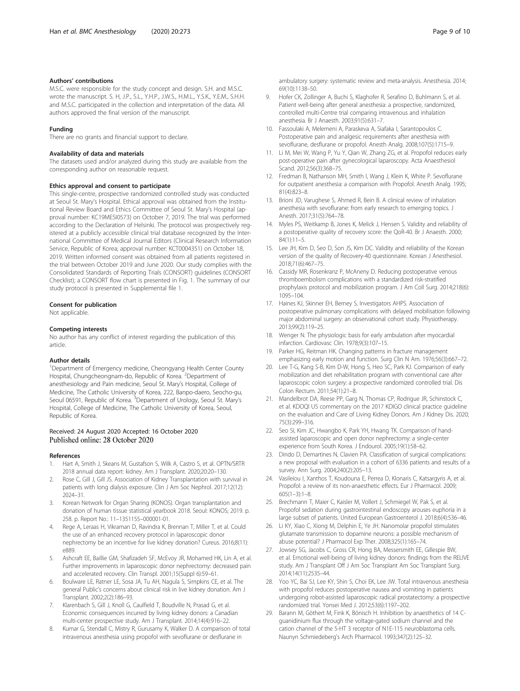#### <span id="page-8-0"></span>Authors' contributions

M.S.C. were responsible for the study concept and design. S.H. and M.S.C. wrote the manuscript. S. H, J.P., S.L., Y.H.P., J.W.S., H.M.L., Y.S.K., Y.E.M., S.H.H. and M.S.C. participated in the collection and interpretation of the data. All authors approved the final version of the manuscript.

#### Funding

There are no grants and financial support to declare.

#### Availability of data and materials

The datasets used and/or analyzed during this study are available from the corresponding author on reasonable request.

#### Ethics approval and consent to participate

This single-centre, prospective randomized controlled study was conducted at Seoul St. Mary's Hospital. Ethical approval was obtained from the Institutional Review Board and Ethics Committee of Seoul St. Mary's Hospital (approval number: KC19MESI0573) on October 7, 2019. The trial was performed according to the Declaration of Helsinki. The protocol was prospectively registered at a publicly accessible clinical trial database recognized by the International Committee of Medical Journal Editors (Clinical Research Information Service, Republic of Korea; approval number: KCT0004351) on October 18, 2019. Written informed consent was obtained from all patients registered in the trial between October 2019 and June 2020. Our study complies with the Consolidated Standards of Reporting Trials (CONSORT) guidelines (CONSORT Checklist); a CONSORT flow chart is presented in Fig. [1](#page-2-0). The summary of our study protocol is presented in Supplemental file [1.](#page-7-0)

#### Consent for publication

Not applicable.

#### Competing interests

No author has any conflict of interest regarding the publication of this article.

#### Author details

<sup>1</sup>Department of Emergency medicine, Cheongyang Health Center County Hospital, Chungcheongnam-do, Republic of Korea. <sup>2</sup>Department of anesthesiology and Pain medicine, Seoul St. Mary's Hospital, College of Medicine, The Catholic University of Korea, 222, Banpo-daero, Seocho-gu, Seoul 06591, Republic of Korea. <sup>3</sup>Department of Urology, Seoul St. Mary's Hospital, College of Medicine, The Catholic University of Korea, Seoul, Republic of Korea.

#### Received: 24 August 2020 Accepted: 16 October 2020 Published online: 28 October 2020

#### References

- 1. Hart A, Smith J, Skeans M, Gustafson S, Wilk A, Castro S, et al. OPTN/SRTR 2018 annual data report: kidney. Am J Transplant. 2020;20:20–130.
- 2. Rose C, Gill J, Gill JS. Association of Kidney Transplantation with survival in patients with long dialysis exposure. Clin J Am Soc Nephrol. 2017;12(12): 2024–31.
- 3. Korean Network for Organ Sharing (KONOS). Organ transplantation and donation of human tissue statistical yearbook 2018. Seoul: KONOS; 2019. p. 258. p. Report No.: 11–1351155–000001-01.
- 4. Rege A, Leraas H, Vikraman D, Ravindra K, Brennan T, Miller T, et al. Could the use of an enhanced recovery protocol in laparoscopic donor nephrectomy be an incentive for live kidney donation? Cureus. 2016;8(11): e889.
- 5. Ashcraft EE, Baillie GM, Shafizadeh SF, McEvoy JR, Mohamed HK, Lin A, et al. Further improvements in laparoscopic donor nephrectomy: decreased pain and accelerated recovery. Clin Transpl. 2001;15(Suppl 6):59–61.
- 6. Boulware LE, Ratner LE, Sosa JA, Tu AH, Nagula S, Simpkins CE, et al. The general Public's concerns about clinical risk in live kidney donation. Am J Transplant. 2002;2(2):186–93.
- Klarenbach S, Gill J, Knoll G, Caulfield T, Boudville N, Prasad G, et al. Economic consequences incurred by living kidney donors: a Canadian multi-center prospective study. Am J Transplant. 2014;14(4):916–22.
- 8. Kumar G, Stendall C, Mistry R, Gurusamy K, Walker D. A comparison of total intravenous anesthesia using propofol with sevoflurane or desflurane in

ambulatory surgery: systematic review and meta-analysis. Anesthesia. 2014; 69(10):1138–50.

- 9. Hofer CK, Zollinger A, Buchi S, Klaghofer R, Serafino D, Buhlmann S, et al. Patient well-being after general anesthesia: a prospective, randomized, controlled multi-Centre trial comparing intravenous and inhalation anesthesia. Br J Anaesth. 2003;91(5):631–7.
- 10. Fassoulaki A, Melemeni A, Paraskeva A, Siafaka I, Sarantopoulos C. Postoperative pain and analgesic requirements after anesthesia with sevoflurane, desflurane or propofol. Anesth Analg. 2008;107(5):1715–9.
- 11. Li M, Mei W, Wang P, Yu Y, Qian W, Zhang ZG, et al. Propofol reduces early post-operative pain after gynecological laparoscopy. Acta Anaesthesiol Scand. 2012;56(3):368–75.
- 12. Fredman B, Nathanson MH, Smith I, Wang J, Klein K, White P. Sevoflurane for outpatient anesthesia: a comparison with Propofol. Anesth Analg. 1995; 81(4):823–8.
- 13. Brioni JD, Varughese S, Ahmed R, Bein B. A clinical review of inhalation anesthesia with sevoflurane: from early research to emerging topics. J Anesth. 2017;31(5):764–78.
- 14. Myles PS, Weitkamp B, Jones K, Melick J, Hensen S. Validity and reliability of a postoperative quality of recovery score: the QoR-40. Br J Anaesth. 2000; 84(1):11–5.
- 15. Lee JH, Kim D, Seo D, Son JS, Kim DC. Validity and reliability of the Korean version of the quality of Recovery-40 questionnaire. Korean J Anesthesiol. 2018;71(6):467–75.
- 16. Cassidy MR, Rosenkranz P, McAneny D. Reducing postoperative venous thromboembolism complications with a standardized risk-stratified prophylaxis protocol and mobilization program. J Am Coll Surg. 2014;218(6): 1095–104.
- 17. Haines KJ, Skinner EH, Berney S, Investigators AHPS. Association of postoperative pulmonary complications with delayed mobilisation following major abdominal surgery: an observational cohort study. Physiotherapy. 2013;99(2):119–25.
- 18. Wenger N. The physiologic basis for early ambulation after myocardial infarction. Cardiovasc Clin. 1978;9(3):107–15.
- 19. Parker HG, Reitman HK. Changing patterns in fracture management emphasizing early motion and function. Surg Clin N Am. 1976;56(3):667–72.
- 20. Lee T-G, Kang S-B, Kim D-W, Hong S, Heo SC, Park KJ. Comparison of early mobilization and diet rehabilitation program with conventional care after laparoscopic colon surgery: a prospective randomized controlled trial. Dis Colon Rectum. 2011;54(1):21–8.
- 21. Mandelbrot DA, Reese PP, Garg N, Thomas CP, Rodrigue JR, Schinstock C, et al. KDOQI US commentary on the 2017 KDIGO clinical practice guideline on the evaluation and Care of Living Kidney Donors. Am J Kidney Dis. 2020; 75(3):299–316.
- 22. Seo SI, Kim JC, Hwangbo K, Park YH, Hwang TK. Comparison of handassisted laparoscopic and open donor nephrectomy: a single-center experience from South Korea. J Endourol. 2005;19(1):58–62.
- 23. Dindo D, Demartines N, Clavien PA. Classification of surgical complications: a new proposal with evaluation in a cohort of 6336 patients and results of a survey. Ann Surg. 2004;240(2):205–13.
- 24. Vasileiou I, Xanthos T, Koudouna E, Perrea D, Klonaris C, Katsargyris A, et al. Propofol: a review of its non-anaesthetic effects. Eur J Pharmacol. 2009; 605(1–3):1–8.
- 25. Brechmann T, Maier C, Kaisler M, Vollert J, Schmiegel W, Pak S, et al. Propofol sedation during gastrointestinal endoscopy arouses euphoria in a large subset of patients. United European Gastroenterol J. 2018;6(4):536–46.
- 26. Li KY, Xiao C, Xiong M, Delphin E, Ye JH. Nanomolar propofol stimulates glutamate transmission to dopamine neurons: a possible mechanism of abuse potential? J Pharmacol Exp Ther. 2008;325(1):165–74.
- 27. Jowsey SG, Jacobs C, Gross CR, Hong BA, Messersmith EE, Gillespie BW, et al. Emotional well-being of living kidney donors: findings from the RELIVE study. Am J Transplant Off J Am Soc Transplant Am Soc Transplant Surg. 2014;14(11):2535–44.
- 28. Yoo YC, Bai SJ, Lee KY, Shin S, Choi EK, Lee JW. Total intravenous anesthesia with propofol reduces postoperative nausea and vomiting in patients undergoing robot-assisted laparoscopic radical prostatectomy: a prospective randomized trial. Yonsei Med J. 2012;53(6):1197–202.
- 29. Barann M, Göthert M, Fink K, Bönisch H. Inhibition by anaesthetics of 14 Cguanidinium flux through the voltage-gated sodium channel and the cation channel of the 5-HT 3 receptor of N1E-115 neuroblastoma cells. Naunyn Schmiedeberg's Arch Pharmacol. 1993;347(2):125–32.